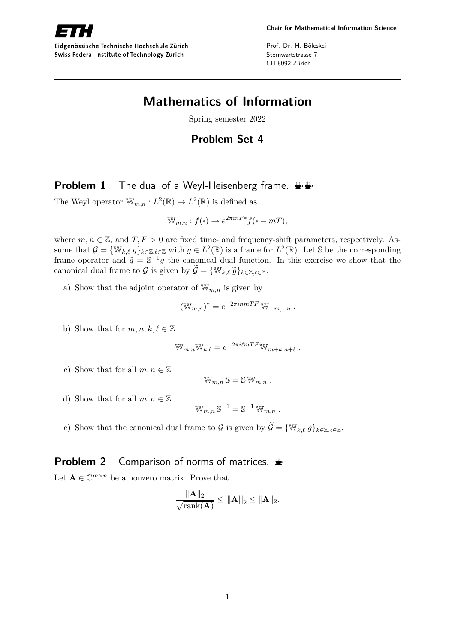

Eidgenössische Technische Hochschule Zürich Swiss Federal Institute of Technology Zurich

Prof. Dr. H. Bölcskei Sternwartstrasse 7 CH-8092 Zürich

# **Mathematics of Information**

Spring semester 2022

## **Problem Set 4**

### **Problem 1** The dual of a Weyl-Heisenberg frame.  $\mathbf{L}$

The Weyl operator  $\mathbb{W}_{m,n}: L^2(\mathbb{R}) \to L^2(\mathbb{R})$  is defined as

$$
\mathbb{W}_{m,n}: f(\cdot) \to e^{2\pi i n F \cdot \tau} f(\cdot - mT),
$$

where  $m, n \in \mathbb{Z}$ , and  $T, F > 0$  are fixed time- and frequency-shift parameters, respectively. Assume that  $\mathcal{G} = \{ \mathbb{W}_{k,\ell} \mid g \}_{k \in \mathbb{Z}, \ell \in \mathbb{Z}}$  with  $g \in L^2(\mathbb{R})$  is a frame for  $L^2(\mathbb{R})$ . Let S be the corresponding frame operator and  $\tilde{g} = \mathbb{S}^{-1}g$  the canonical dual function. In this exercise we show that the canonical dual frame to G is given by  $\widetilde{\mathcal{G}} = \{ \mathbb{W}_{k,\ell} \ \widetilde{g} \}_{k \in \mathbb{Z}, \ell \in \mathbb{Z}}$ .

a) Show that the adjoint operator of  $\mathbb{W}_{m,n}$  is given by

$$
(\mathbb{W}_{m,n})^* = e^{-2\pi i n mTF} \mathbb{W}_{-m,-n} .
$$

b) Show that for  $m, n, k, \ell \in \mathbb{Z}$ 

$$
\mathbb{W}_{m,n} \mathbb{W}_{k,\ell} = e^{-2\pi i \ell mTF} \mathbb{W}_{m+k,n+\ell} .
$$

c) Show that for all  $m, n \in \mathbb{Z}$ 

$$
\mathbb{W}_{m,n}\,\mathbb{S}=\mathbb{S}\,\mathbb{W}_{m,n}.
$$

d) Show that for all  $m, n \in \mathbb{Z}$ 

$$
\mathbb{W}_{m,n} \, \mathbb{S}^{-1} = \mathbb{S}^{-1} \, \mathbb{W}_{m,n} \ .
$$

e) Show that the canonical dual frame to G is given by  $\widetilde{\mathcal{G}} = \{ \mathbb{W}_{k,\ell} \tilde{g} \}_{k \in \mathbb{Z}, \ell \in \mathbb{Z}}$ .

## **Problem 2** Comparison of norms of matrices.

Let  $\mathbf{A} \in \mathbb{C}^{m \times n}$  be a nonzero matrix. Prove that

$$
\frac{\|\mathbf{A}\|_2}{\sqrt{\text{rank}(\mathbf{A})}} \le \|\mathbf{A}\|_2 \le \|\mathbf{A}\|_2.
$$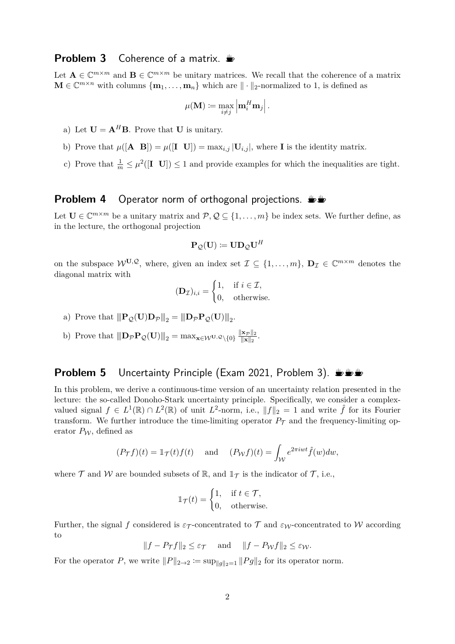#### **Problem 3** Coherence of a matrix.  $\triangleq$

Let  $\mathbf{A} \in \mathbb{C}^{m \times m}$  and  $\mathbf{B} \in \mathbb{C}^{m \times m}$  be unitary matrices. We recall that the coherence of a matrix  $\mathbf{M} \in \mathbb{C}^{m \times n}$  with columns  $\{\mathbf{m}_1, \dots, \mathbf{m}_n\}$  which are  $\|\cdot\|_2$ -normalized to 1, is defined as

$$
\mu(\mathbf{M}) \coloneqq \max_{i \neq j} \left|\mathbf{m}_i^H \mathbf{m}_j\right|.
$$

- a) Let  $\mathbf{U} = \mathbf{A}^H \mathbf{B}$ . Prove that **U** is unitary.
- b) Prove that  $\mu([\mathbf{A} \ \mathbf{B}]) = \mu([\mathbf{I} \ \mathbf{U}]) = \max_{i,j} |\mathbf{U}_{i,j}|$ , where **I** is the identity matrix.
- c) Prove that  $\frac{1}{m} \leq \mu^2([I \t U]) \leq 1$  and provide examples for which the inequalities are tight.

#### **Problem 4** Operator norm of orthogonal projections.  $\mathbf{L}$

Let  $\mathbf{U} \in \mathbb{C}^{m \times m}$  be a unitary matrix and  $\mathcal{P}, \mathcal{Q} \subseteq \{1, \ldots, m\}$  be index sets. We further define, as in the lecture, the orthogonal projection

$$
\mathbf{P}_{\mathcal{Q}}(\mathbf{U})\coloneqq \mathbf{U}\mathbf{D}_{\mathcal{Q}}\mathbf{U}^{H}
$$

on the subspace  $W^{U,Q}$ , where, given an index set  $\mathcal{I} \subseteq \{1,\ldots,m\}$ ,  $\mathbf{D}_{\mathcal{I}} \in \mathbb{C}^{m \times m}$  denotes the diagonal matrix with

$$
(\mathbf{D}_{\mathcal{I}})_{i,i} = \begin{cases} 1, & \text{if } i \in \mathcal{I}, \\ 0, & \text{otherwise.} \end{cases}
$$

- a) Prove that  $\|\mathbf{P}_{\mathcal{Q}}(\mathbf{U})\mathbf{D}_{\mathcal{P}}\|_2 = \|\mathbf{D}_{\mathcal{P}}\mathbf{P}_{\mathcal{Q}}(\mathbf{U})\|_2.$
- b) Prove that  $\|\mathbf{D}_{\mathcal{P}}\mathbf{P}_{\mathcal{Q}}(\mathbf{U})\|_2 = \max_{\mathbf{x}\in\mathcal{W}^{\mathbf{U}},\mathcal{Q}\setminus\{0\}}\frac{\|\mathbf{x}_{\mathcal{P}}\|_2}{\|\mathbf{x}\|_2}$  $\frac{\|\mathbf{x}_{\mathcal{P}}\|_2}{\|\mathbf{x}\|_2}.$

#### **Problem 5** Uncertainty Principle (Exam 2021, Problem 3). WE

In this problem, we derive a continuous-time version of an uncertainty relation presented in the lecture: the so-called Donoho-Stark uncertainty principle. Specifically, we consider a complexvalued signal  $f \in L^1(\mathbb{R}) \cap L^2(\mathbb{R})$  of unit  $L^2$ -norm, i.e.,  $||f||_2 = 1$  and write  $\hat{f}$  for its Fourier transform. We further introduce the time-limiting operator  $P_{\tau}$  and the frequency-limiting operator  $P_W$ , defined as

$$
(P_{\mathcal{T}}f)(t) = \mathbb{1}_{\mathcal{T}}(t)f(t)
$$
 and  $(P_{\mathcal{W}}f)(t) = \int_{\mathcal{W}} e^{2\pi iwt} \hat{f}(w)dw$ ,

where  $\mathcal T$  and  $\mathcal W$  are bounded subsets of  $\mathbb R$ , and  $\mathbb 1_{\mathcal T}$  is the indicator of  $\mathcal T$ , i.e.,

$$
\mathbb{1}_{\mathcal{T}}(t) = \begin{cases} 1, & \text{if } t \in \mathcal{T}, \\ 0, & \text{otherwise.} \end{cases}
$$

Further, the signal *f* considered is  $\varepsilon_T$ -concentrated to T and  $\varepsilon_W$ -concentrated to W according to

$$
||f - P_{\mathcal{T}}f||_2 \leq \varepsilon_{\mathcal{T}} \quad \text{and} \quad ||f - P_{\mathcal{W}}f||_2 \leq \varepsilon_{\mathcal{W}}.
$$

For the operator *P*, we write  $||P||_{2\to 2} := \sup_{||q||_2=1} ||Pg||_2$  for its operator norm.